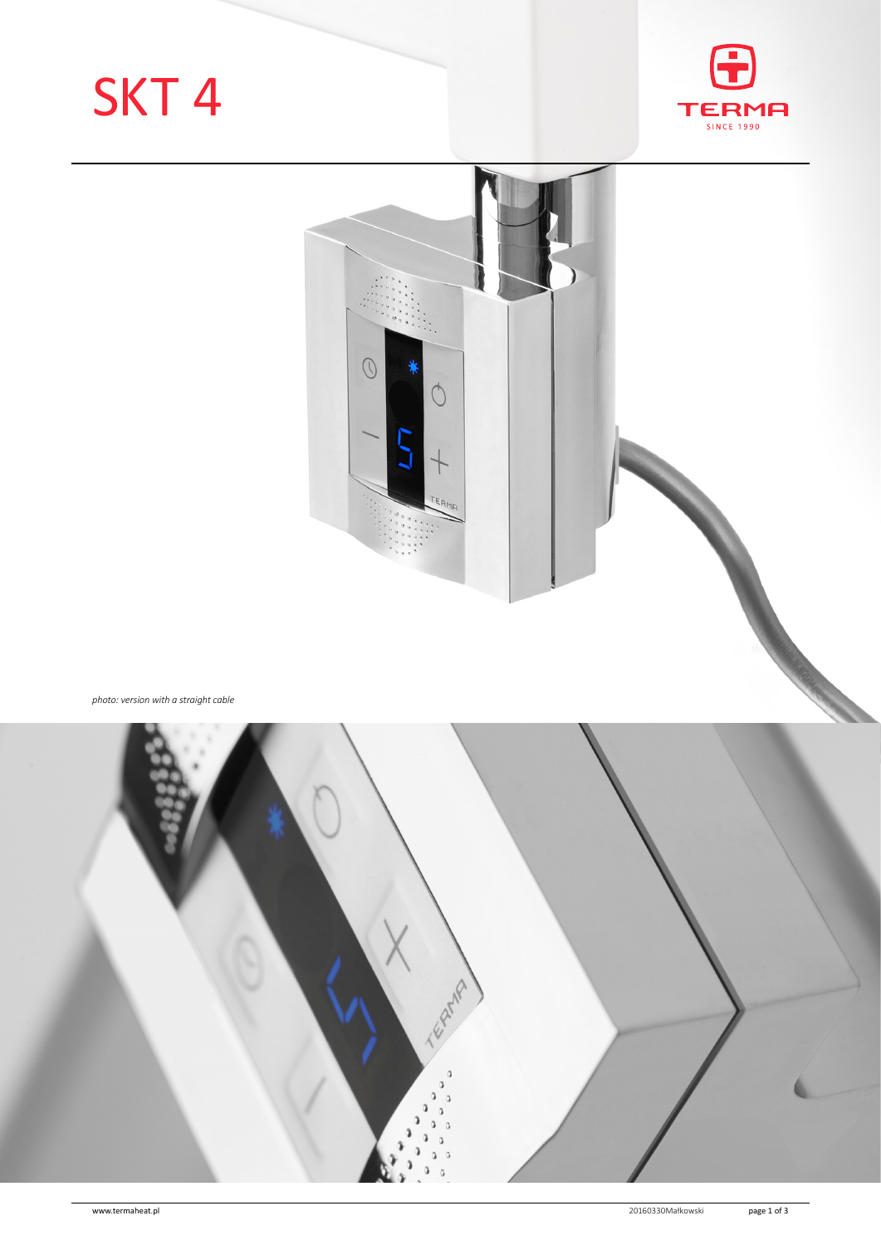# SKT 4





*photo: version with a straight cable*

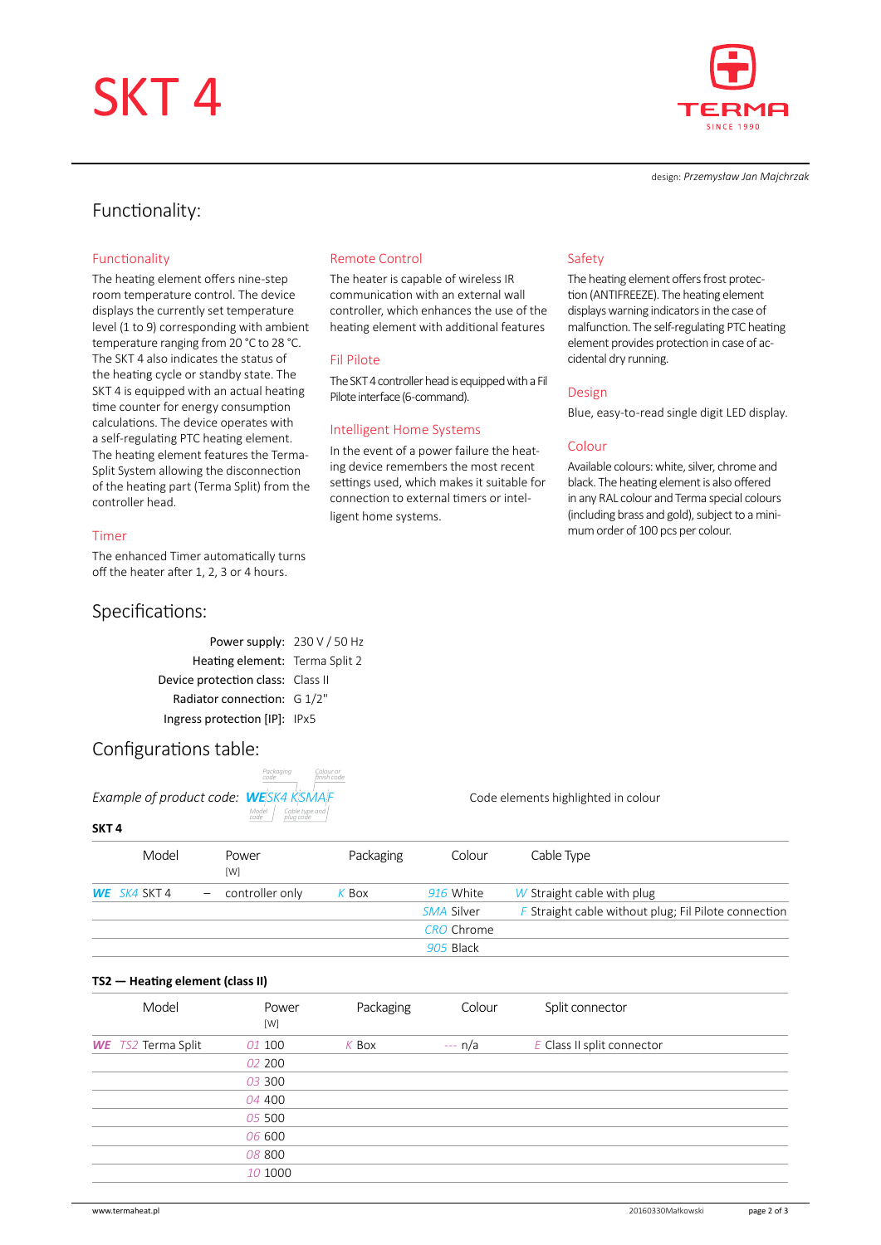# SKT 4



design: *Przemysław Jan Majchrzak*

## Functionality:

#### Functionality

The heating element offers nine-step room temperature control. The device displays the currently set temperature level (1 to 9) corresponding with ambient temperature ranging from 20 °C to 28 °C. The SKT 4 also indicates the status of the heating cycle or standby state. The SKT 4 is equipped with an actual heating time counter for energy consumption calculations. The device operates with a self-regulating PTC heating element. The heating element features the Terma-Split System allowing the disconnection of the heating part (Terma Split) from the controller head.

#### Timer

The enhanced Timer automatically turns off the heater after 1, 2, 3 or 4 hours.

## Specifications:

### Remote Control

The heater is capable of wireless IR communication with an external wall controller, which enhances the use of the heating element with additional features

#### Fil Pilote

The SKT 4 controller head is equipped with a Fil Pilote interface (6-command).

#### Intelligent Home Systems

In the event of a power failure the heating device remembers the most recent settings used, which makes it suitable for connection to external timers or intelligent home systems.

### Safety

The heating element offers frost protection (ANTIFREEZE). The heating element displays warning indicators in the case of malfunction. The self-regulating PTC heating element provides protection in case of accidental dry running.

#### Design

Blue, easy-to-read single digit LED display.

#### Colour

Available colours: white, silver, chrome and black. The heating element is also offered in any RAL colour and Terma special colours (including brass and gold), subject to a minimum order of 100 pcs per colour.

| Power supply: 230 V / 50 Hz       |  |
|-----------------------------------|--|
| Heating element: Terma Split 2    |  |
| Device protection class: Class II |  |
| Radiator connection: G 1/2"       |  |
| Ingress protection [IP]: IPx5     |  |

## Configurations table:

|                                | Packaging<br>code            |  |
|--------------------------------|------------------------------|--|
| Example of product code: WESK4 |                              |  |
|                                | Cc<br>pli<br>Model  <br>code |  |

| Packaging<br>code | Colour or<br>finish code |  |
|-------------------|--------------------------|--|
|                   |                          |  |
| <b>ESK4 KSMAF</b> |                          |  |
| Þ<br>plua códe    | Cable type and           |  |

*Example of product code: WE SK4 K SMA F* Code elements highlighted in colour

#### **SKT 4**

|              | Model | Power<br>[W]        | Packaging | Colour            | Cable Type                                             |
|--------------|-------|---------------------|-----------|-------------------|--------------------------------------------------------|
| WE SK4 SKT 4 |       | $-$ controller only | K Box     | 916 White         | W Straight cable with plug                             |
|              |       |                     |           | SMA Silver        | $F$ Straight cable without plug; Fil Pilote connection |
|              |       |                     |           | <b>CRO</b> Chrome |                                                        |
|              |       |                     | 905 Black |                   |                                                        |

#### **TS2— Heating element (class II)**

| Model                     | Power<br>[W] | Packaging | Colour   | Split connector            |  |
|---------------------------|--------------|-----------|----------|----------------------------|--|
| <b>WE</b> TS2 Terma Split | 01 100       | $K$ Box   | $-- n/a$ | E Class II split connector |  |
|                           | 02 200       |           |          |                            |  |
|                           | 03 300       |           |          |                            |  |
|                           | 04 400       |           |          |                            |  |
|                           | 05 500       |           |          |                            |  |
|                           | 06 600       |           |          |                            |  |
|                           | 08 800       |           |          |                            |  |
|                           | 10 1000      |           |          |                            |  |